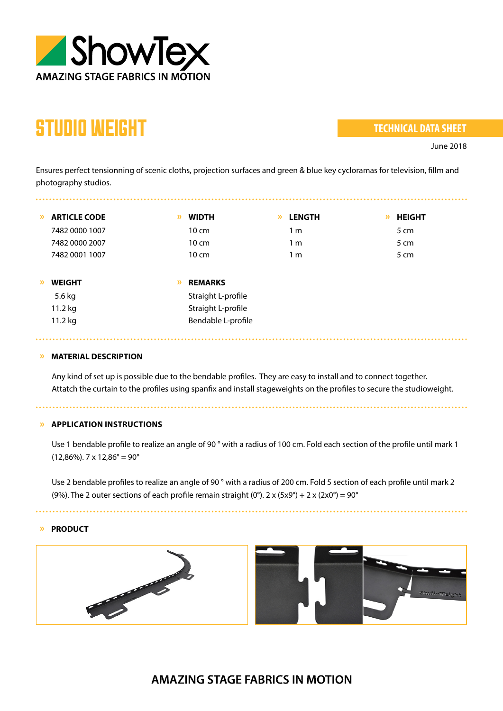

## STUDIO WEIGHT

. . . . . . . . . . . . . .

## **TECHNICAL DATA SHEET**

June 2018

Ensures perfect tensionning of scenic cloths, projection surfaces and green & blue key cycloramas for television, fillm and photography studios.

| $\mathcal{P}$ | <b>ARTICLE CODE</b> | » | <b>WIDTH</b>       | » | <b>LENGTH</b>  | » | <b>HEIGHT</b> |
|---------------|---------------------|---|--------------------|---|----------------|---|---------------|
|               | 7482 0000 1007      |   | $10 \text{ cm}$    |   | 1 <sub>m</sub> |   | 5 cm          |
|               | 7482 0000 2007      |   | $10 \text{ cm}$    |   | 1 <sub>m</sub> |   | 5 cm          |
|               | 7482 0001 1007      |   | $10 \text{ cm}$    |   | 1 <sub>m</sub> |   | 5 cm          |
|               |                     |   |                    |   |                |   |               |
| $\mathcal{D}$ | <b>WEIGHT</b>       | » | <b>REMARKS</b>     |   |                |   |               |
|               | 5.6 kg              |   | Straight L-profile |   |                |   |               |
|               | 11.2 kg             |   | Straight L-profile |   |                |   |               |
|               | 11.2 kg             |   | Bendable L-profile |   |                |   |               |

## **» MATERIAL DESCRIPTION**

Any kind of set up is possible due to the bendable profiles. They are easy to install and to connect together. Attatch the curtain to the profiles using spanfix and install stageweights on the profiles to secure the studioweight.

**» APPLICATION INSTRUCTIONS**

Use 1 bendable profile to realize an angle of 90 ° with a radius of 100 cm. Fold each section of the profile until mark 1  $(12,86\%)$ . 7 x  $12,86^{\circ} = 90^{\circ}$ 

Use 2 bendable profiles to realize an angle of 90° with a radius of 200 cm. Fold 5 section of each profile until mark 2 (9%). The 2 outer sections of each profile remain straight (0°). 2 x (5x9°) + 2 x (2x0°) = 90°

## **» PRODUCT**